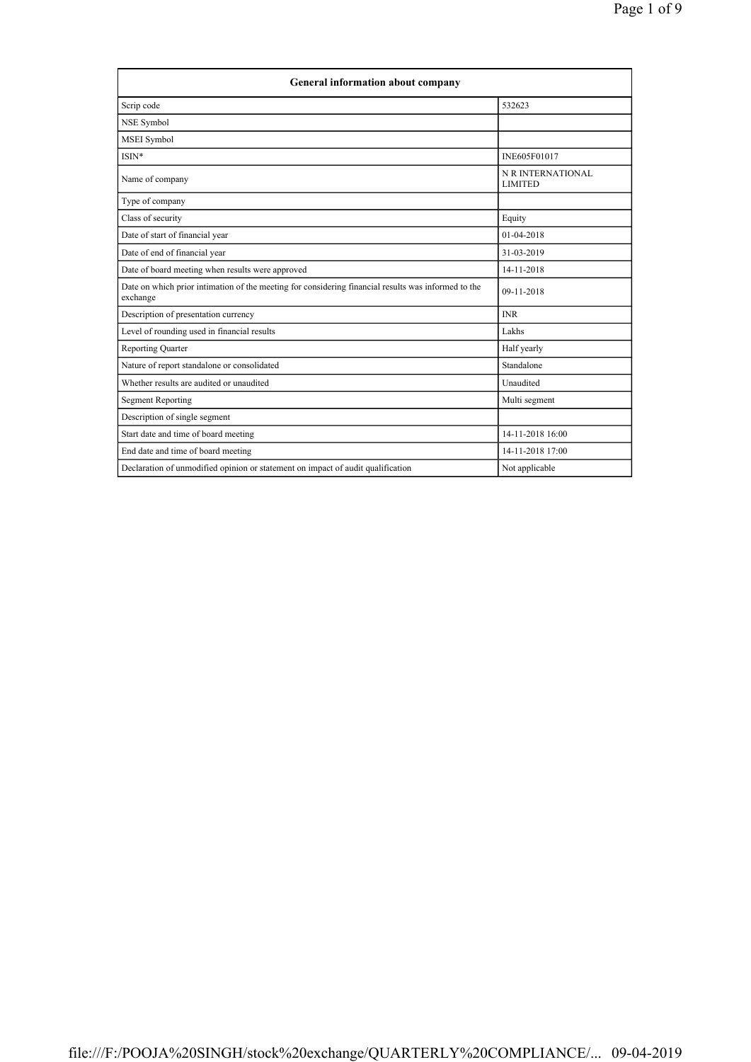| <b>General information about company</b>                                                                        |                                     |  |
|-----------------------------------------------------------------------------------------------------------------|-------------------------------------|--|
| Scrip code                                                                                                      | 532623                              |  |
| NSE Symbol                                                                                                      |                                     |  |
| <b>MSEI</b> Symbol                                                                                              |                                     |  |
| ISIN*                                                                                                           | INE605F01017                        |  |
| Name of company                                                                                                 | N R INTERNATIONAL<br><b>LIMITED</b> |  |
| Type of company                                                                                                 |                                     |  |
| Class of security                                                                                               | Equity                              |  |
| Date of start of financial year                                                                                 | $01-04-2018$                        |  |
| Date of end of financial year                                                                                   | 31-03-2019                          |  |
| Date of board meeting when results were approved                                                                | 14-11-2018                          |  |
| Date on which prior intimation of the meeting for considering financial results was informed to the<br>exchange | 09-11-2018                          |  |
| Description of presentation currency                                                                            | <b>INR</b>                          |  |
| Level of rounding used in financial results                                                                     | Lakhs                               |  |
| <b>Reporting Quarter</b>                                                                                        | Half yearly                         |  |
| Nature of report standalone or consolidated                                                                     | Standalone                          |  |
| Whether results are audited or unaudited                                                                        | Unaudited                           |  |
| <b>Segment Reporting</b>                                                                                        | Multi segment                       |  |
| Description of single segment                                                                                   |                                     |  |
| Start date and time of board meeting                                                                            | 14-11-2018 16:00                    |  |
| End date and time of board meeting                                                                              | 14-11-2018 17:00                    |  |
| Declaration of unmodified opinion or statement on impact of audit qualification                                 | Not applicable                      |  |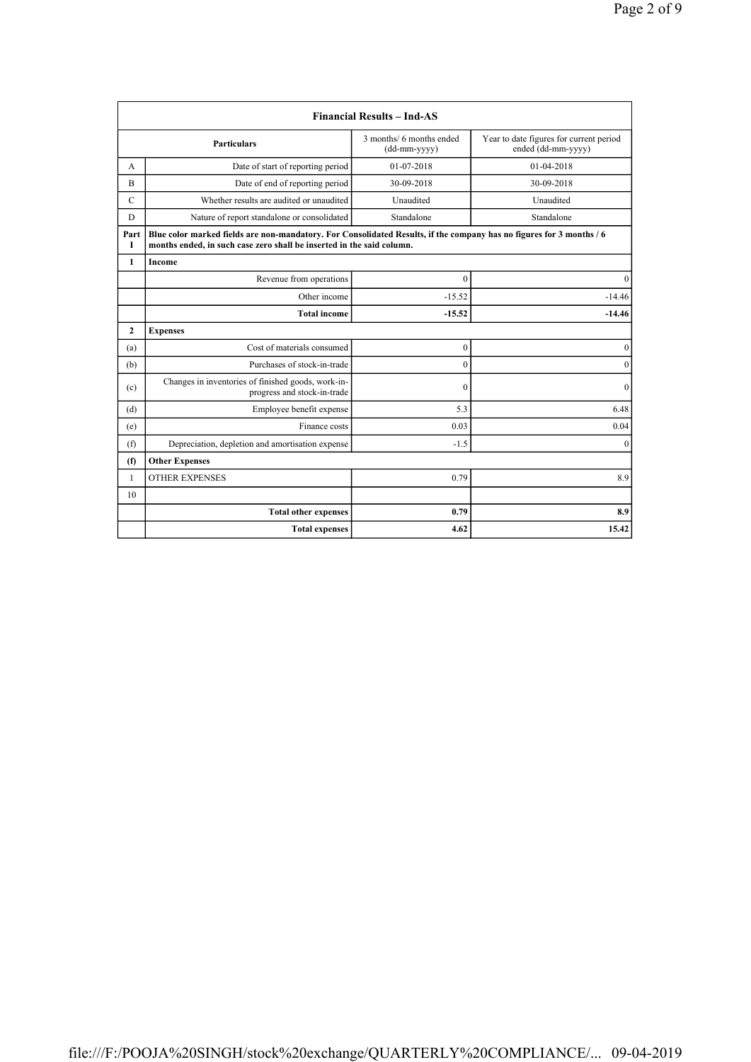|               |                                                                                                                                                                                               | <b>Financial Results - Ind-AS</b>        |                                                               |
|---------------|-----------------------------------------------------------------------------------------------------------------------------------------------------------------------------------------------|------------------------------------------|---------------------------------------------------------------|
|               | <b>Particulars</b>                                                                                                                                                                            | 3 months/ 6 months ended<br>(dd-mm-yyyy) | Year to date figures for current period<br>ended (dd-mm-yyyy) |
| А             | Date of start of reporting period                                                                                                                                                             | 01-07-2018                               | 01-04-2018                                                    |
| B             | Date of end of reporting period                                                                                                                                                               | 30-09-2018                               | 30-09-2018                                                    |
| $\mathcal{C}$ | Whether results are audited or unaudited                                                                                                                                                      | Unaudited                                | Unaudited                                                     |
| D             | Nature of report standalone or consolidated                                                                                                                                                   | Standalone                               | Standalone                                                    |
| Part<br>Т     | Blue color marked fields are non-mandatory. For Consolidated Results, if the company has no figures for 3 months / 6<br>months ended, in such case zero shall be inserted in the said column. |                                          |                                                               |
| 1             | Income                                                                                                                                                                                        |                                          |                                                               |
|               | Revenue from operations                                                                                                                                                                       | $\mathbf{0}$                             | $\Omega$                                                      |
|               | Other income                                                                                                                                                                                  | $-15.52$                                 | $-14.46$                                                      |
|               | <b>Total income</b>                                                                                                                                                                           | $-15.52$                                 | $-14.46$                                                      |
| $\mathbf{2}$  | <b>Expenses</b>                                                                                                                                                                               |                                          |                                                               |
| (a)           | Cost of materials consumed                                                                                                                                                                    | $\boldsymbol{0}$                         | $\boldsymbol{0}$                                              |
| (b)           | Purchases of stock-in-trade                                                                                                                                                                   | $\boldsymbol{0}$                         | $\mathbf{0}$                                                  |
| (c)           | Changes in inventories of finished goods, work-in-<br>progress and stock-in-trade                                                                                                             | $\theta$                                 | $\mathbf{0}$                                                  |
| (d)           | Employee benefit expense                                                                                                                                                                      | 5.3                                      | 6.48                                                          |
| (e)           | Finance costs                                                                                                                                                                                 | 0.03                                     | 0.04                                                          |
| (f)           | Depreciation, depletion and amortisation expense                                                                                                                                              | $-1.5$                                   | $\mathbf{0}$                                                  |
| (f)           | <b>Other Expenses</b>                                                                                                                                                                         |                                          |                                                               |
| $\mathbf{1}$  | <b>OTHER EXPENSES</b>                                                                                                                                                                         | 0.79                                     | 8.9                                                           |
| 10            |                                                                                                                                                                                               |                                          |                                                               |
|               | <b>Total other expenses</b>                                                                                                                                                                   | 0.79                                     | 8.9                                                           |
|               | <b>Total expenses</b>                                                                                                                                                                         | 4.62                                     | 15.42                                                         |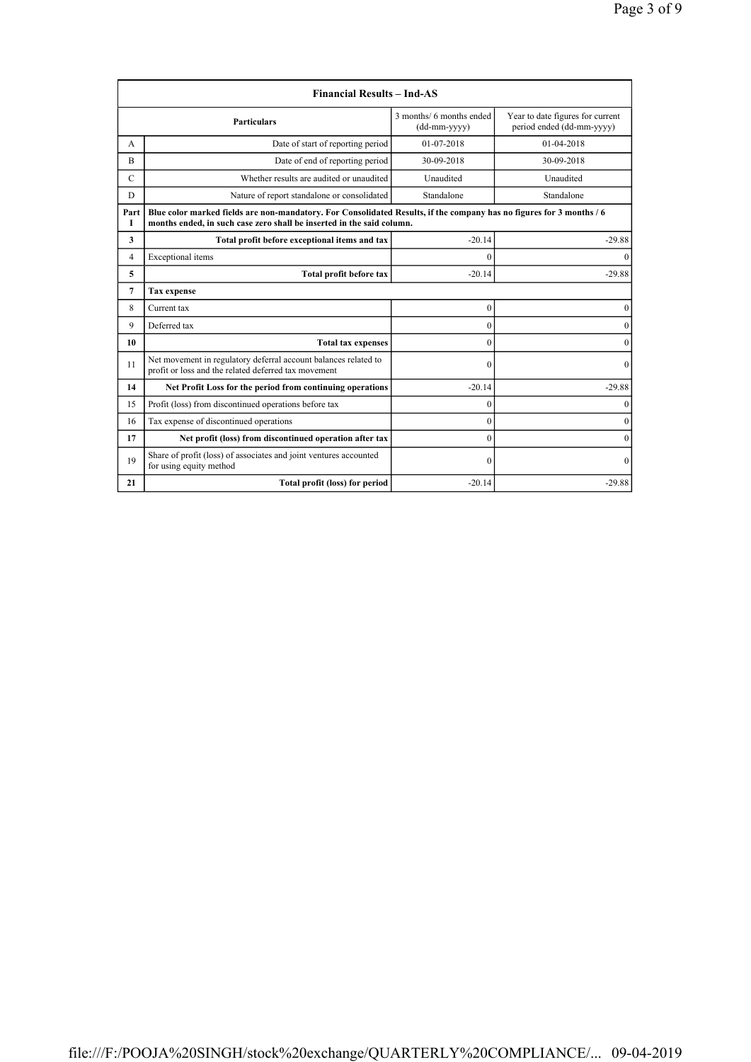|             | <b>Financial Results - Ind-AS</b>                                                                                                                                                             |                                          |                                                               |
|-------------|-----------------------------------------------------------------------------------------------------------------------------------------------------------------------------------------------|------------------------------------------|---------------------------------------------------------------|
|             | <b>Particulars</b>                                                                                                                                                                            | 3 months/ 6 months ended<br>(dd-mm-yyyy) | Year to date figures for current<br>period ended (dd-mm-yyyy) |
| A           | Date of start of reporting period                                                                                                                                                             | 01-07-2018                               | 01-04-2018                                                    |
| R           | Date of end of reporting period                                                                                                                                                               | 30-09-2018                               | 30-09-2018                                                    |
| $\mathbf C$ | Whether results are audited or unaudited                                                                                                                                                      | Unaudited                                | Unaudited                                                     |
| D           | Nature of report standalone or consolidated                                                                                                                                                   | Standalone                               | Standalone                                                    |
| Part<br>I   | Blue color marked fields are non-mandatory. For Consolidated Results, if the company has no figures for 3 months / 6<br>months ended, in such case zero shall be inserted in the said column. |                                          |                                                               |
| 3           | Total profit before exceptional items and tax                                                                                                                                                 | $-20.14$                                 | $-29.88$                                                      |
| 4           | Exceptional items                                                                                                                                                                             | $\theta$                                 | $\Omega$                                                      |
| 5           | Total profit before tax                                                                                                                                                                       | $-20.14$                                 | $-29.88$                                                      |
| 7           | <b>Tax</b> expense                                                                                                                                                                            |                                          |                                                               |
| 8           | Current tax                                                                                                                                                                                   | $\boldsymbol{0}$                         | 0                                                             |
| 9           | Deferred tax                                                                                                                                                                                  | $\theta$                                 | $\theta$                                                      |
| 10          | <b>Total tax expenses</b>                                                                                                                                                                     | $\mathbf{0}$                             | $\mathbf{0}$                                                  |
| 11          | Net movement in regulatory deferral account balances related to<br>profit or loss and the related deferred tax movement                                                                       | $\mathbf{0}$                             | $\mathbf{0}$                                                  |
| 14          | Net Profit Loss for the period from continuing operations                                                                                                                                     | $-20.14$                                 | $-29.88$                                                      |
| 15          | Profit (loss) from discontinued operations before tax                                                                                                                                         | $\boldsymbol{0}$                         | $\mathbf{0}$                                                  |
| 16          | Tax expense of discontinued operations                                                                                                                                                        | $\theta$                                 | $\theta$                                                      |
| 17          | Net profit (loss) from discontinued operation after tax                                                                                                                                       | $\theta$                                 | $\mathbf{0}$                                                  |
| 19          | Share of profit (loss) of associates and joint ventures accounted<br>for using equity method                                                                                                  | $\theta$                                 | $\Omega$                                                      |
| 21          | Total profit (loss) for period                                                                                                                                                                | $-20.14$                                 | $-29.88$                                                      |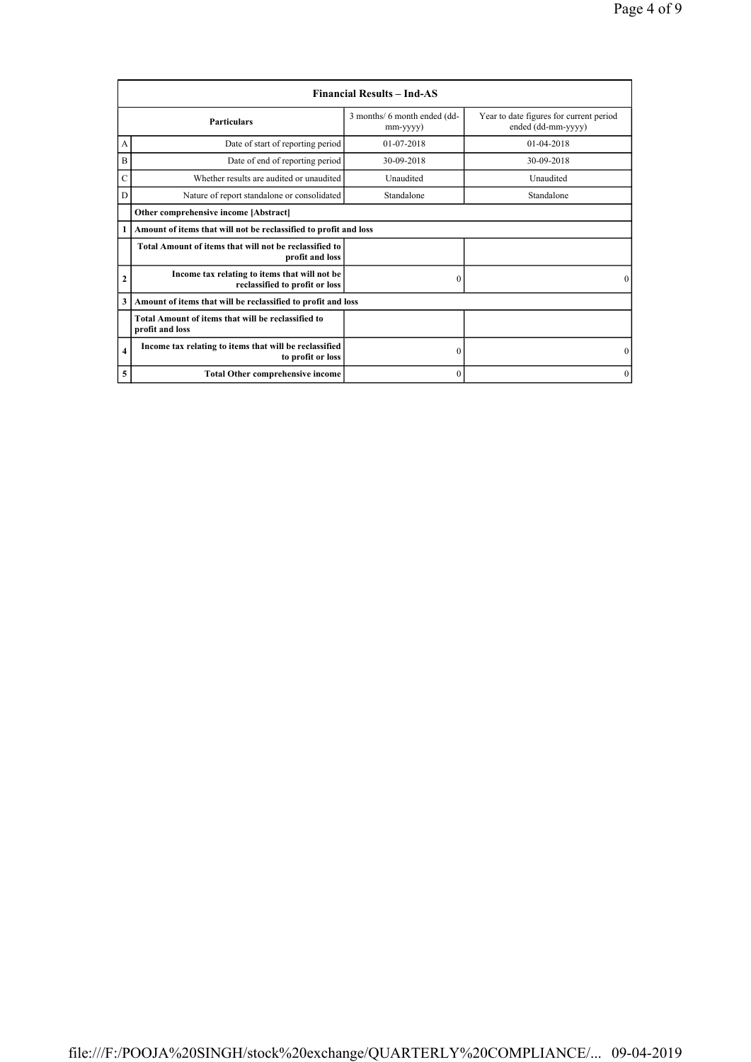|                | <b>Financial Results – Ind-AS</b>                                               |                                          |                                                               |
|----------------|---------------------------------------------------------------------------------|------------------------------------------|---------------------------------------------------------------|
|                | <b>Particulars</b>                                                              | 3 months/ 6 month ended (dd-<br>mm-yyyy) | Year to date figures for current period<br>ended (dd-mm-yyyy) |
| А              | Date of start of reporting period                                               | $01-07-2018$                             | $01-04-2018$                                                  |
| B              | Date of end of reporting period                                                 | 30-09-2018                               | 30-09-2018                                                    |
| Ċ              | Whether results are audited or unaudited                                        | Unaudited                                | Unaudited                                                     |
| D              | Nature of report standalone or consolidated                                     | Standalone                               | Standalone                                                    |
|                | Other comprehensive income [Abstract]                                           |                                          |                                                               |
| 1              | Amount of items that will not be reclassified to profit and loss                |                                          |                                                               |
|                | Total Amount of items that will not be reclassified to<br>profit and loss       |                                          |                                                               |
| $\overline{2}$ | Income tax relating to items that will not be<br>reclassified to profit or loss | $\theta$                                 | $\Omega$                                                      |
| 3              | Amount of items that will be reclassified to profit and loss                    |                                          |                                                               |
|                | Total Amount of items that will be reclassified to<br>profit and loss           |                                          |                                                               |
| $\overline{4}$ | Income tax relating to items that will be reclassified<br>to profit or loss     | $\boldsymbol{0}$                         | $\mathbf{0}$                                                  |
| 5              | <b>Total Other comprehensive income</b>                                         | $\mathbf{0}$                             | $\mathbf{0}$                                                  |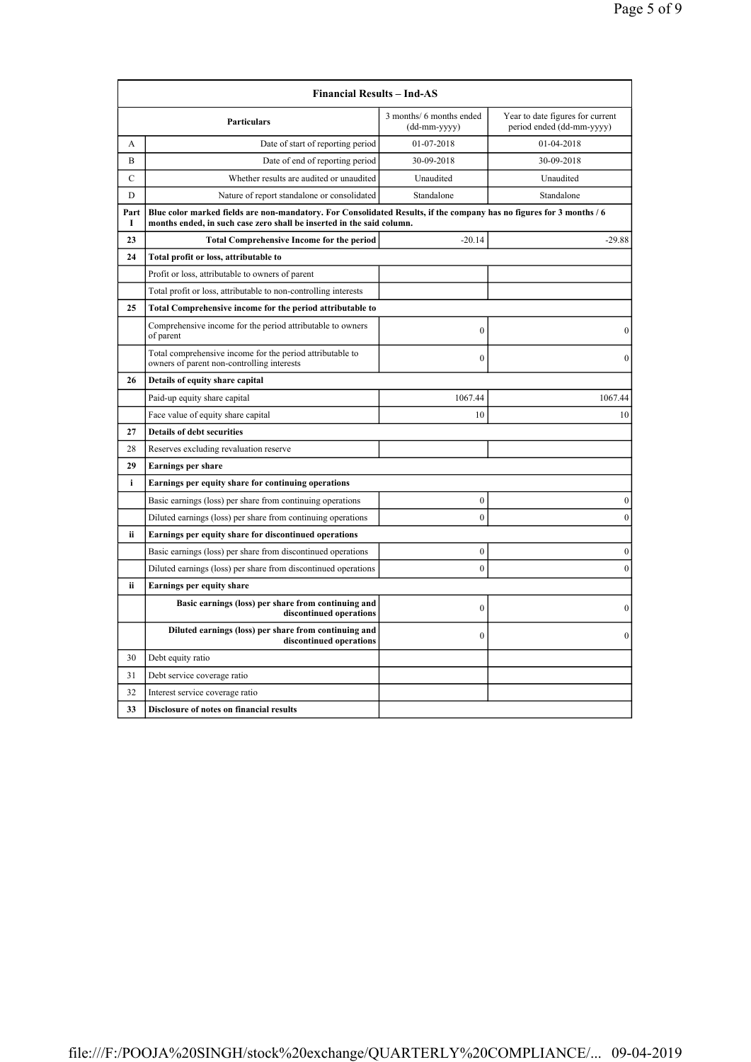|                                                              | <b>Financial Results – Ind-AS</b>                                                                                                                                                             |                                          |                                                               |
|--------------------------------------------------------------|-----------------------------------------------------------------------------------------------------------------------------------------------------------------------------------------------|------------------------------------------|---------------------------------------------------------------|
|                                                              | <b>Particulars</b>                                                                                                                                                                            | 3 months/ 6 months ended<br>(dd-mm-yyyy) | Year to date figures for current<br>period ended (dd-mm-yyyy) |
| A                                                            | Date of start of reporting period                                                                                                                                                             | 01-07-2018                               | 01-04-2018                                                    |
| B                                                            | Date of end of reporting period                                                                                                                                                               | 30-09-2018                               | 30-09-2018                                                    |
| $\mathbf C$                                                  | Whether results are audited or unaudited                                                                                                                                                      | Unaudited                                | Unaudited                                                     |
| D                                                            | Nature of report standalone or consolidated                                                                                                                                                   | Standalone                               | Standalone                                                    |
| Part<br>I                                                    | Blue color marked fields are non-mandatory. For Consolidated Results, if the company has no figures for 3 months / 6<br>months ended, in such case zero shall be inserted in the said column. |                                          |                                                               |
| 23                                                           | <b>Total Comprehensive Income for the period</b>                                                                                                                                              | $-20.14$                                 | $-29.88$                                                      |
| 24                                                           | Total profit or loss, attributable to                                                                                                                                                         |                                          |                                                               |
|                                                              | Profit or loss, attributable to owners of parent                                                                                                                                              |                                          |                                                               |
|                                                              | Total profit or loss, attributable to non-controlling interests                                                                                                                               |                                          |                                                               |
| 25                                                           | Total Comprehensive income for the period attributable to                                                                                                                                     |                                          |                                                               |
|                                                              | Comprehensive income for the period attributable to owners<br>of parent                                                                                                                       | $\mathbf{0}$                             | $\boldsymbol{0}$                                              |
|                                                              | Total comprehensive income for the period attributable to<br>owners of parent non-controlling interests                                                                                       | $\overline{0}$                           | $\mathbf{0}$                                                  |
| 26                                                           | Details of equity share capital                                                                                                                                                               |                                          |                                                               |
|                                                              | Paid-up equity share capital                                                                                                                                                                  | 1067.44                                  | 1067.44                                                       |
|                                                              | Face value of equity share capital                                                                                                                                                            | 10                                       | 10                                                            |
| 27                                                           | <b>Details of debt securities</b>                                                                                                                                                             |                                          |                                                               |
| 28                                                           | Reserves excluding revaluation reserve                                                                                                                                                        |                                          |                                                               |
| 29                                                           | <b>Earnings per share</b>                                                                                                                                                                     |                                          |                                                               |
| i<br>Earnings per equity share for continuing operations     |                                                                                                                                                                                               |                                          |                                                               |
|                                                              | Basic earnings (loss) per share from continuing operations                                                                                                                                    | 0                                        | $\boldsymbol{0}$                                              |
|                                                              | Diluted earnings (loss) per share from continuing operations                                                                                                                                  | $\theta$                                 | $\boldsymbol{0}$                                              |
| ii.<br>Earnings per equity share for discontinued operations |                                                                                                                                                                                               |                                          |                                                               |
|                                                              | Basic earnings (loss) per share from discontinued operations                                                                                                                                  | $\mathbf{0}$                             | $\boldsymbol{0}$                                              |
|                                                              | Diluted earnings (loss) per share from discontinued operations                                                                                                                                | $\theta$                                 | $\mathbf{0}$                                                  |
| ii                                                           | <b>Earnings per equity share</b>                                                                                                                                                              |                                          |                                                               |
|                                                              | Basic earnings (loss) per share from continuing and<br>discontinued operations                                                                                                                | $\overline{0}$                           | $\mathbf{0}$                                                  |
|                                                              | Diluted earnings (loss) per share from continuing and<br>discontinued operations                                                                                                              | $\mathbf{0}$                             | $\mathbf{0}$                                                  |
| 30                                                           | Debt equity ratio                                                                                                                                                                             |                                          |                                                               |
| 31                                                           | Debt service coverage ratio                                                                                                                                                                   |                                          |                                                               |
| 32                                                           | Interest service coverage ratio                                                                                                                                                               |                                          |                                                               |
| 33                                                           | <b>Disclosure of notes on financial results</b>                                                                                                                                               |                                          |                                                               |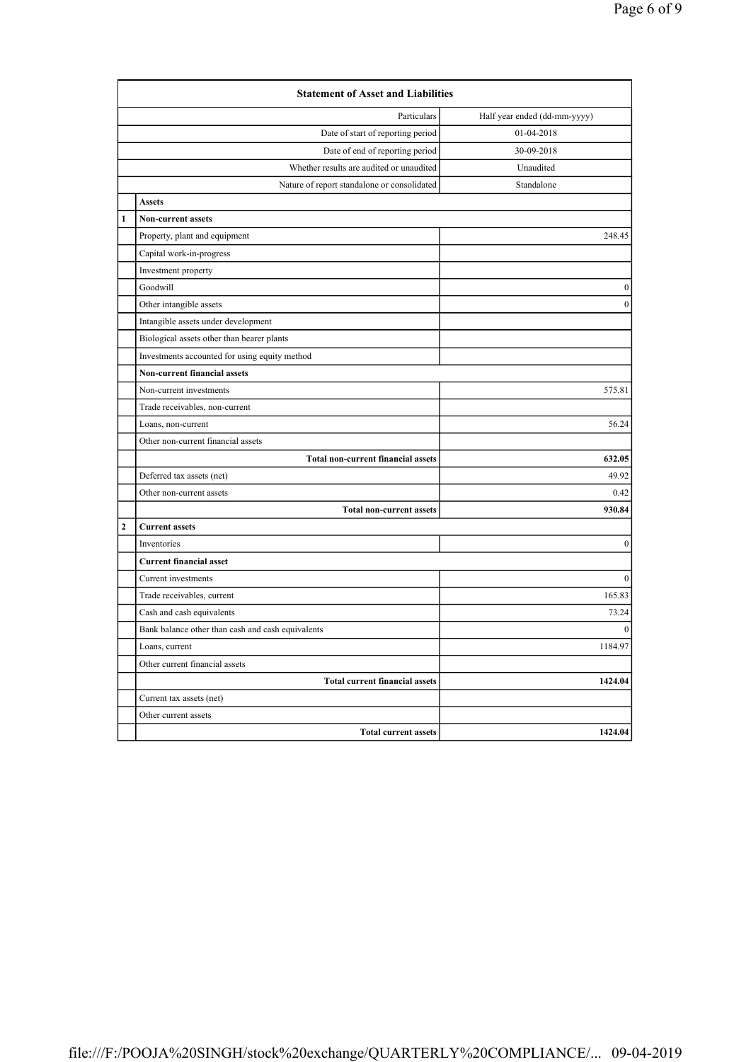|                | <b>Statement of Asset and Liabilities</b>         |                  |  |  |
|----------------|---------------------------------------------------|------------------|--|--|
|                | Particulars<br>Half year ended (dd-mm-yyyy)       |                  |  |  |
|                | Date of start of reporting period                 | 01-04-2018       |  |  |
|                | Date of end of reporting period                   | 30-09-2018       |  |  |
|                | Whether results are audited or unaudited          | Unaudited        |  |  |
|                | Nature of report standalone or consolidated       | Standalone       |  |  |
|                | <b>Assets</b>                                     |                  |  |  |
| $\mathbf{1}$   | <b>Non-current assets</b>                         |                  |  |  |
|                | Property, plant and equipment                     | 248.45           |  |  |
|                | Capital work-in-progress                          |                  |  |  |
|                | Investment property                               |                  |  |  |
|                | Goodwill                                          | $\mathbf{0}$     |  |  |
|                | Other intangible assets                           | $\mathbf{0}$     |  |  |
|                | Intangible assets under development               |                  |  |  |
|                | Biological assets other than bearer plants        |                  |  |  |
|                | Investments accounted for using equity method     |                  |  |  |
|                | Non-current financial assets                      |                  |  |  |
|                | Non-current investments                           | 575.81           |  |  |
|                | Trade receivables, non-current                    |                  |  |  |
|                | Loans, non-current                                | 56.24            |  |  |
|                | Other non-current financial assets                |                  |  |  |
|                | <b>Total non-current financial assets</b>         | 632.05           |  |  |
|                | Deferred tax assets (net)                         | 49.92            |  |  |
|                | Other non-current assets                          | 0.42             |  |  |
|                | <b>Total non-current assets</b>                   | 930.84           |  |  |
| $\overline{2}$ | <b>Current assets</b>                             |                  |  |  |
|                | Inventories                                       | $\boldsymbol{0}$ |  |  |
|                | <b>Current financial asset</b>                    |                  |  |  |
|                | Current investments                               | $\mathbf{0}$     |  |  |
|                | Trade receivables, current                        | 165.83           |  |  |
|                | Cash and cash equivalents                         | 73.24            |  |  |
|                | Bank balance other than cash and cash equivalents | $\mathbf{0}$     |  |  |
|                | Loans, current                                    | 1184.97          |  |  |
|                | Other current financial assets                    |                  |  |  |
|                | <b>Total current financial assets</b>             | 1424.04          |  |  |
|                | Current tax assets (net)                          |                  |  |  |
|                | Other current assets                              |                  |  |  |
|                | <b>Total current assets</b>                       | 1424.04          |  |  |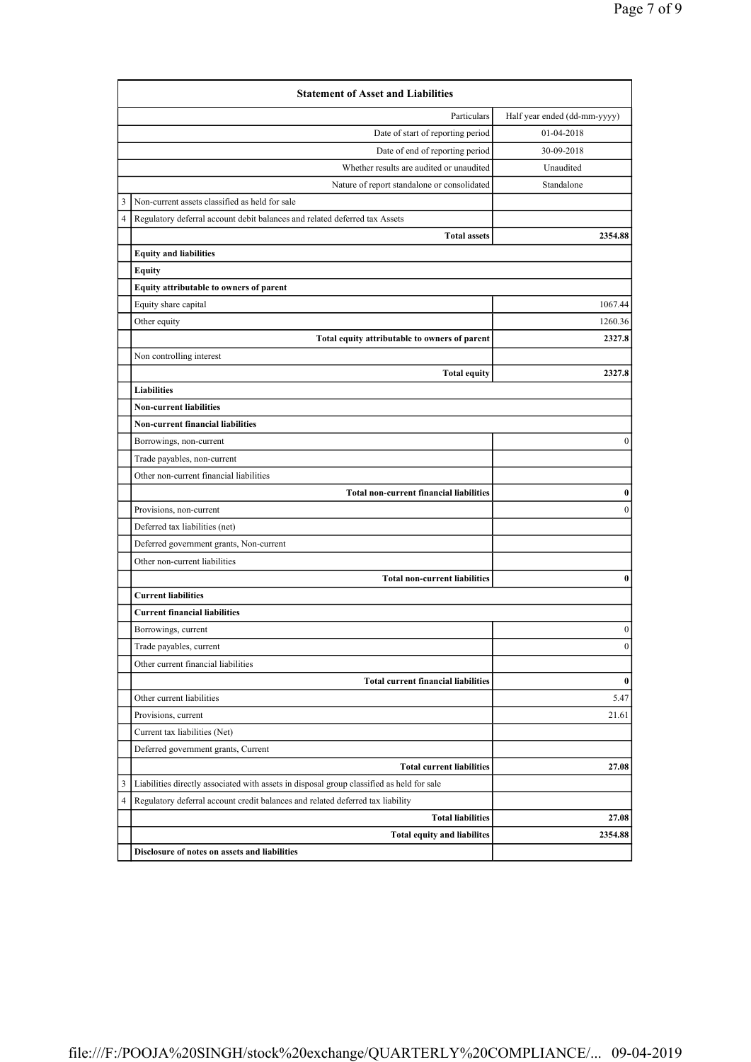|                            | <b>Statement of Asset and Liabilities</b>                                                 |                              |
|----------------------------|-------------------------------------------------------------------------------------------|------------------------------|
|                            | Particulars                                                                               | Half year ended (dd-mm-yyyy) |
|                            | Date of start of reporting period                                                         | 01-04-2018                   |
|                            | Date of end of reporting period                                                           | 30-09-2018                   |
|                            | Whether results are audited or unaudited                                                  | Unaudited                    |
|                            | Nature of report standalone or consolidated                                               | Standalone                   |
| 3                          | Non-current assets classified as held for sale                                            |                              |
| 4                          | Regulatory deferral account debit balances and related deferred tax Assets                |                              |
|                            | <b>Total assets</b>                                                                       | 2354.88                      |
|                            | <b>Equity and liabilities</b>                                                             |                              |
|                            | <b>Equity</b>                                                                             |                              |
|                            | Equity attributable to owners of parent                                                   |                              |
|                            | Equity share capital                                                                      | 1067.44                      |
|                            | Other equity                                                                              | 1260.36                      |
|                            | Total equity attributable to owners of parent                                             | 2327.8                       |
|                            | Non controlling interest                                                                  |                              |
|                            | <b>Total equity</b>                                                                       | 2327.8                       |
|                            | Liabilities                                                                               |                              |
|                            | <b>Non-current liabilities</b>                                                            |                              |
|                            | <b>Non-current financial liabilities</b>                                                  |                              |
|                            | Borrowings, non-current                                                                   | 0                            |
|                            | Trade payables, non-current                                                               |                              |
|                            | Other non-current financial liabilities                                                   |                              |
|                            | <b>Total non-current financial liabilities</b>                                            | $\bf{0}$                     |
|                            | Provisions, non-current                                                                   | $\boldsymbol{0}$             |
|                            | Deferred tax liabilities (net)                                                            |                              |
|                            | Deferred government grants, Non-current                                                   |                              |
|                            | Other non-current liabilities                                                             |                              |
|                            | <b>Total non-current liabilities</b>                                                      | $\bf{0}$                     |
| <b>Current liabilities</b> |                                                                                           |                              |
|                            | <b>Current financial liabilities</b>                                                      |                              |
|                            | Borrowings, current                                                                       | $\boldsymbol{0}$             |
|                            | Trade payables, current                                                                   | $\boldsymbol{0}$             |
|                            | Other current financial liabilities                                                       |                              |
|                            | <b>Total current financial liabilities</b>                                                | $\bf{0}$                     |
|                            | Other current liabilities                                                                 | 5.47                         |
|                            | Provisions, current                                                                       | 21.61                        |
|                            | Current tax liabilities (Net)                                                             |                              |
|                            | Deferred government grants, Current                                                       |                              |
|                            | <b>Total current liabilities</b>                                                          | 27.08                        |
| 3                          | Liabilities directly associated with assets in disposal group classified as held for sale |                              |
| 4                          | Regulatory deferral account credit balances and related deferred tax liability            |                              |
|                            | <b>Total liabilities</b>                                                                  | 27.08                        |
|                            | <b>Total equity and liabilites</b>                                                        | 2354.88                      |
|                            | Disclosure of notes on assets and liabilities                                             |                              |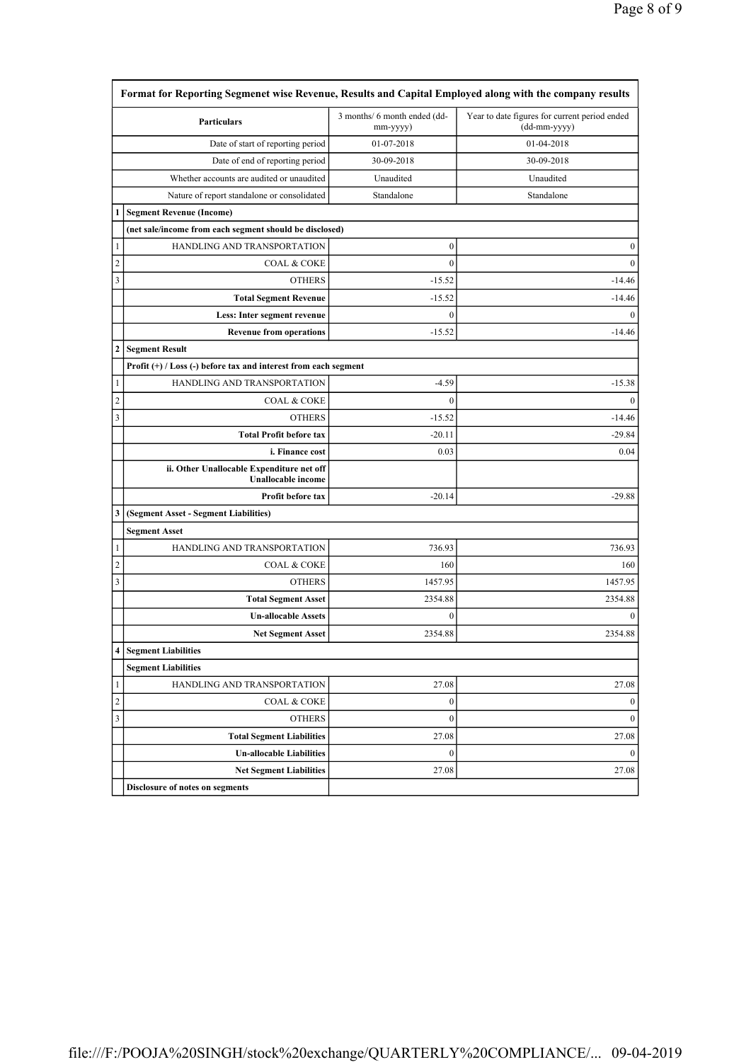|                         | <b>Particulars</b>                                                     | 3 months/ 6 month ended (dd-<br>mm-yyyy) | Year to date figures for current period ended<br>(dd-mm-yyyy) |
|-------------------------|------------------------------------------------------------------------|------------------------------------------|---------------------------------------------------------------|
|                         | Date of start of reporting period                                      | 01-07-2018                               | 01-04-2018                                                    |
|                         | Date of end of reporting period                                        | 30-09-2018                               | 30-09-2018                                                    |
|                         | Whether accounts are audited or unaudited                              | Unaudited                                | Unaudited                                                     |
|                         | Nature of report standalone or consolidated                            | Standalone                               | Standalone                                                    |
| 1                       | <b>Segment Revenue (Income)</b>                                        |                                          |                                                               |
|                         | (net sale/income from each segment should be disclosed)                |                                          |                                                               |
| 1                       | HANDLING AND TRANSPORTATION                                            | $\boldsymbol{0}$                         | $\boldsymbol{0}$                                              |
| $\overline{c}$          | <b>COAL &amp; COKE</b>                                                 | $\boldsymbol{0}$                         | $\mathbf{0}$                                                  |
| 3                       | <b>OTHERS</b>                                                          | $-15.52$                                 | $-14.46$                                                      |
|                         | <b>Total Segment Revenue</b>                                           | $-15.52$                                 | $-14.46$                                                      |
|                         | Less: Inter segment revenue                                            | $\boldsymbol{0}$                         | $\mathbf{0}$                                                  |
|                         | <b>Revenue from operations</b>                                         | $-15.52$                                 | $-14.46$                                                      |
| $\mathbf{2}$            | <b>Segment Result</b>                                                  |                                          |                                                               |
|                         | Profit $(+)$ / Loss $(-)$ before tax and interest from each segment    |                                          |                                                               |
| $\mathbf{1}$            | HANDLING AND TRANSPORTATION                                            | $-4.59$                                  | $-15.38$                                                      |
| $\boldsymbol{2}$        | <b>COAL &amp; COKE</b>                                                 | $\mathbf{0}$                             | $\mathbf{0}$                                                  |
| 3                       | <b>OTHERS</b>                                                          | $-15.52$                                 | $-14.46$                                                      |
|                         | <b>Total Profit before tax</b>                                         | $-20.11$                                 | $-29.84$                                                      |
|                         | i. Finance cost                                                        | 0.03                                     | 0.04                                                          |
|                         | ii. Other Unallocable Expenditure net off<br><b>Unallocable</b> income |                                          |                                                               |
|                         | Profit before tax                                                      | $-20.14$                                 | $-29.88$                                                      |
| 3                       | (Segment Asset - Segment Liabilities)                                  |                                          |                                                               |
|                         | <b>Segment Asset</b>                                                   |                                          |                                                               |
| $\mathbf{1}$            | HANDLING AND TRANSPORTATION                                            | 736.93                                   | 736.93                                                        |
| $\overline{c}$          | <b>COAL &amp; COKE</b>                                                 | 160                                      | 160                                                           |
| $\mathfrak{Z}$          | <b>OTHERS</b>                                                          | 1457.95                                  | 1457.95                                                       |
|                         | <b>Total Segment Asset</b>                                             | 2354.88                                  | 2354.88                                                       |
|                         | <b>Un-allocable Assets</b>                                             | $\boldsymbol{0}$                         | $\boldsymbol{0}$                                              |
|                         | <b>Net Segment Asset</b>                                               | 2354.88                                  | 2354.88                                                       |
| $\overline{\mathbf{A}}$ | <b>Segment Liabilities</b>                                             |                                          |                                                               |
|                         | <b>Segment Liabilities</b>                                             |                                          |                                                               |
| 1                       | HANDLING AND TRANSPORTATION                                            | 27.08                                    | 27.08                                                         |
|                         | <b>COAL &amp; COKE</b>                                                 | $\boldsymbol{0}$                         | $\boldsymbol{0}$                                              |
|                         | <b>OTHERS</b>                                                          | $\boldsymbol{0}$                         | $\boldsymbol{0}$                                              |
|                         |                                                                        |                                          |                                                               |
|                         | <b>Total Segment Liabilities</b>                                       | 27.08                                    |                                                               |
| $\overline{c}$<br>3     | <b>Un-allocable Liabilities</b>                                        | $\boldsymbol{0}$                         | 27.08<br>$\mathbf{0}$                                         |